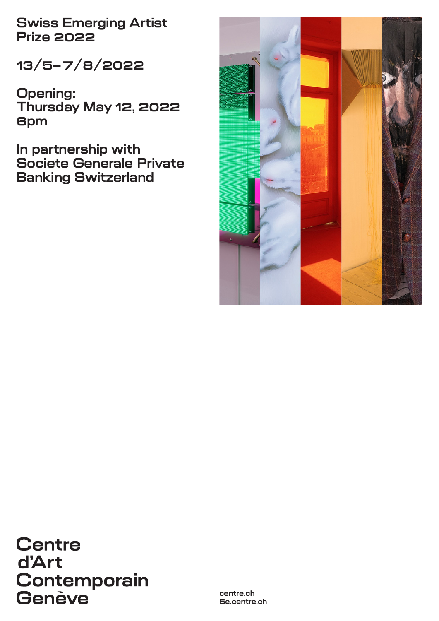**Swiss Emerging Artist Prize 2022**

**13/5–7/8/2022**

**Opening: Thursday May 12, 2022 6pm**

**In partnership with Societe Generale Private Banking Switzerland**



**Centre** d'Art **Contemporain** Genève

**centre.ch 5e.centre.ch**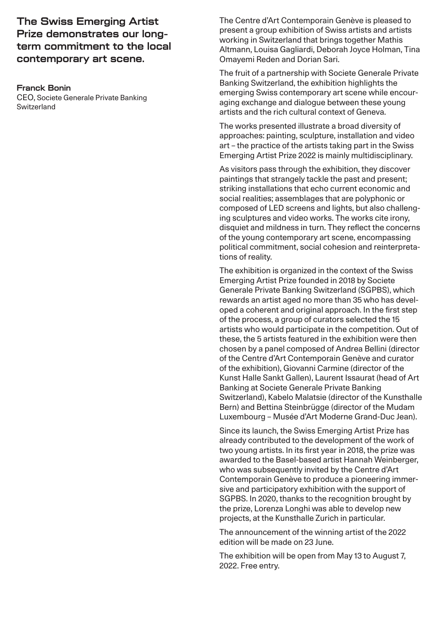**The Swiss Emerging Artist Prize demonstrates our longterm commitment to the local contemporary art scene.**

#### **Franck Bonin**

CEO, Societe Generale Private Banking Switzerland

The Centre d'Art Contemporain Genève is pleased to present a group exhibition of Swiss artists and artists working in Switzerland that brings together Mathis Altmann, Louisa Gagliardi, Deborah Joyce Holman, Tina Omayemi Reden and Dorian Sari.

The fruit of a partnership with Societe Generale Private Banking Switzerland, the exhibition highlights the emerging Swiss contemporary art scene while encouraging exchange and dialogue between these young artists and the rich cultural context of Geneva.

The works presented illustrate a broad diversity of approaches: painting, sculpture, installation and video art – the practice of the artists taking part in the Swiss Emerging Artist Prize 2022 is mainly multidisciplinary.

As visitors pass through the exhibition, they discover paintings that strangely tackle the past and present; striking installations that echo current economic and social realities; assemblages that are polyphonic or composed of LED screens and lights, but also challenging sculptures and video works. The works cite irony, disquiet and mildness in turn. They reflect the concerns of the young contemporary art scene, encompassing political commitment, social cohesion and reinterpretations of reality.

The exhibition is organized in the context of the [Swiss](https://www.societegenerale.ch/en/private-banking/swiss-emerging-artist-prize/)  [Emerging Artist Prize](https://www.societegenerale.ch/en/private-banking/swiss-emerging-artist-prize/) founded in 2018 by Societe Generale Private Banking Switzerland (SGPBS), which rewards an artist aged no more than 35 who has developed a coherent and original approach. In the first step of the process, a group of curators selected the 15 artists who would participate in the competition. Out of these, the 5 artists featured in the exhibition were then chosen by a panel composed of Andrea Bellini (director of the Centre d'Art Contemporain Genève and curator of the exhibition), Giovanni Carmine (director of the Kunst Halle Sankt Gallen), Laurent Issaurat (head of Art Banking at Societe Generale Private Banking Switzerland), Kabelo Malatsie (director of the Kunsthalle Bern) and Bettina Steinbrügge (director of the Mudam Luxembourg – Musée d'Art Moderne Grand-Duc Jean).

Since its launch, the Swiss Emerging Artist Prize has already contributed to the development of the work of two young artists. In its first year in 2018, the prize was awarded to the Basel-based artist Hannah Weinberger, who was subsequently invited by the Centre d'Art Contemporain Genève to produce a pioneering immersive and participatory exhibition with the support of SGPBS. In 2020, thanks to the recognition brought by the prize, Lorenza Longhi was able to develop new projects, at the Kunsthalle Zurich in particular.

The announcement of the winning artist of the 2022 edition will be made on 23 June.

The exhibition will be open from May 13 to August 7, 2022. Free entry.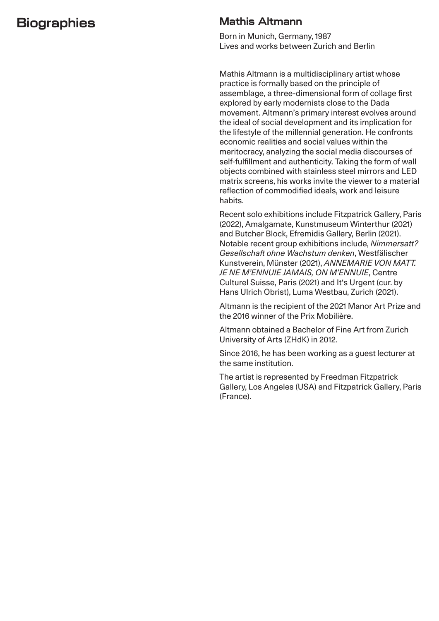# **Biographies**

### **Mathis Altmann**

Born in Munich, Germany, 1987 Lives and works between Zurich and Berlin

Mathis Altmann is a multidisciplinary artist whose practice is formally based on the principle of assemblage, a three-dimensional form of collage first explored by early modernists close to the Dada movement. Altmann's primary interest evolves around the ideal of social development and its implication for the lifestyle of the millennial generation. He confronts economic realities and social values within the meritocracy, analyzing the social media discourses of self-fulfillment and authenticity. Taking the form of wall objects combined with stainless steel mirrors and LED matrix screens, his works invite the viewer to a material reflection of commodified ideals, work and leisure habits.

Recent solo exhibitions include Fitzpatrick Gallery, Paris (2022), Amalgamate, Kunstmuseum Winterthur (2021) and Butcher Block, Efremidis Gallery, Berlin (2021). Notable recent group exhibitions include, *Nimmersatt? Gesellschaft ohne Wachstum denken*, Westfälischer Kunstverein, Münster (2021), *ANNEMARIE VON MATT. JE NE M'ENNUIE JAMAIS, ON M'ENNUIE*, Centre Culturel Suisse, Paris (2021) and It's Urgent (cur. by Hans Ulrich Obrist), Luma Westbau, Zurich (2021).

Altmann is the recipient of the 2021 Manor Art Prize and the 2016 winner of the Prix Mobilière.

Altmann obtained a Bachelor of Fine Art from Zurich University of Arts (ZHdK) in 2012.

Since 2016, he has been working as a guest lecturer at the same institution.

The artist is represented by Freedman Fitzpatrick Gallery, Los Angeles (USA) and Fitzpatrick Gallery, Paris (France).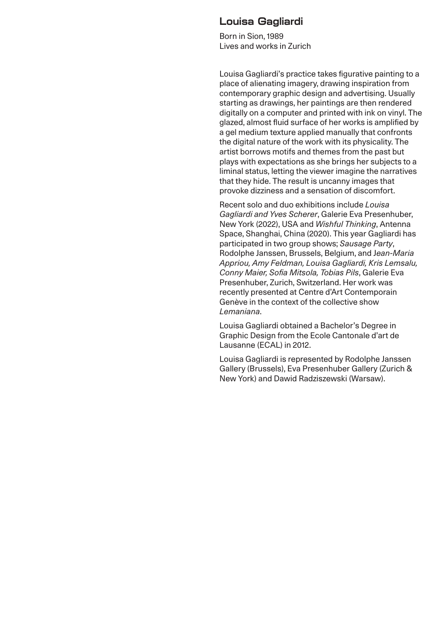#### **Louisa Gagliardi**

Born in Sion, 1989 Lives and works in Zurich

Louisa Gagliardi's practice takes figurative painting to a place of alienating imagery, drawing inspiration from contemporary graphic design and advertising. Usually starting as drawings, her paintings are then rendered digitally on a computer and printed with ink on vinyl. The glazed, almost fluid surface of her works is amplified by a gel medium texture applied manually that confronts the digital nature of the work with its physicality. The artist borrows motifs and themes from the past but plays with expectations as she brings her subjects to a liminal status, letting the viewer imagine the narratives that they hide. The result is uncanny images that provoke dizziness and a sensation of discomfort.

Recent solo and duo exhibitions include *Louisa Gagliardi and Yves Scherer*, Galerie Eva Presenhuber, New York (2022), USA and *Wishful Thinking*, Antenna Space, Shanghai, China (2020). This year Gagliardi has participated in two group shows; *Sausage Party*, Rodolphe Janssen, Brussels, Belgium, and J*ean-Maria Appriou, Amy Feldman, Louisa Gagliardi, Kris Lemsalu, Conny Maier, Sofia Mitsola, Tobias Pils*, Galerie Eva Presenhuber, Zurich, Switzerland. Her work was recently presented at Centre d'Art Contemporain Genève in the context of the collective show *Lemaniana*.

Louisa Gagliardi obtained a Bachelor's Degree in Graphic Design from the Ecole Cantonale d'art de Lausanne (ECAL) in 2012.

Louisa Gagliardi is represented by Rodolphe Janssen Gallery (Brussels), Eva Presenhuber Gallery (Zurich & New York) and Dawid Radziszewski (Warsaw).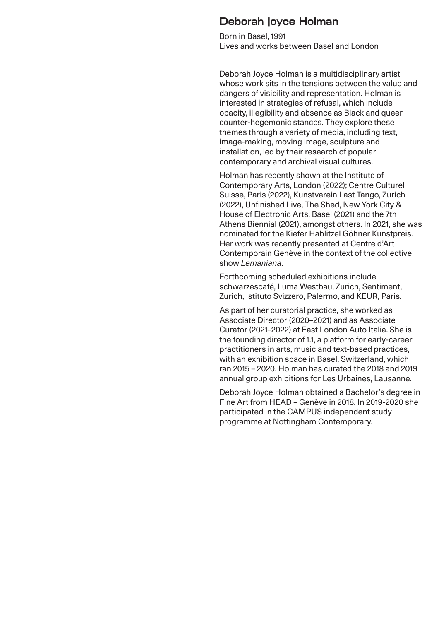#### **Deborah Joyce Holman**

Born in Basel, 1991 Lives and works between Basel and London

Deborah Joyce Holman is a multidisciplinary artist whose work sits in the tensions between the value and dangers of visibility and representation. Holman is interested in strategies of refusal, which include opacity, illegibility and absence as Black and queer counter-hegemonic stances. They explore these themes through a variety of media, including text, image-making, moving image, sculpture and installation, led by their research of popular contemporary and archival visual cultures.

Holman has recently shown at the Institute of Contemporary Arts, London (2022); Centre Culturel Suisse, Paris (2022), Kunstverein Last Tango, Zurich (2022), Unfinished Live, The Shed, New York City & House of Electronic Arts, Basel (2021) and the 7th Athens Biennial (2021), amongst others. In 2021, she was nominated for the Kiefer Hablitzel Göhner Kunstpreis. Her work was recently presented at Centre d'Art Contemporain Genève in the context of the collective show *Lemaniana*.

Forthcoming scheduled exhibitions include schwarzescafé, Luma Westbau, Zurich, Sentiment, Zurich, Istituto Svizzero, Palermo, and KEUR, Paris.

As part of her curatorial practice, she worked as Associate Director (2020–2021) and as Associate Curator (2021–2022) at East London Auto Italia. She is the founding director of 1.1, a platform for early-career practitioners in arts, music and text-based practices, with an exhibition space in Basel, Switzerland, which ran 2015 – 2020. Holman has curated the 2018 and 2019 annual group exhibitions for Les Urbaines, Lausanne.

Deborah Joyce Holman obtained a Bachelor's degree in Fine Art from HEAD – Genève in 2018. In 2019-2020 she participated in the CAMPUS independent study programme at Nottingham Contemporary.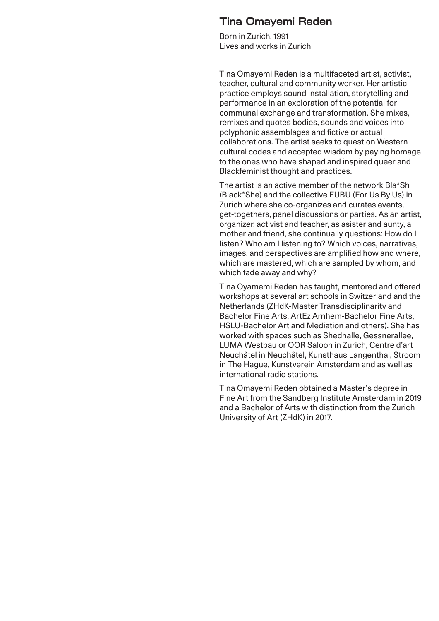#### **Tina Omayemi Reden**

Born in Zurich, 1991 Lives and works in Zurich

Tina Omayemi Reden is a multifaceted artist, activist, teacher, cultural and community worker. Her artistic practice employs sound installation, storytelling and performance in an exploration of the potential for communal exchange and transformation. She mixes, remixes and quotes bodies, sounds and voices into polyphonic assemblages and fictive or actual collaborations. The artist seeks to question Western cultural codes and accepted wisdom by paying homage to the ones who have shaped and inspired queer and Blackfeminist thought and practices.

The artist is an active member of the network Bla\*Sh (Black\*She) and the collective FUBU (For Us By Us) in Zurich where she co-organizes and curates events, get-togethers, panel discussions or parties. As an artist, organizer, activist and teacher, as asister and aunty, a mother and friend, she continually questions: How do I listen? Who am I listening to? Which voices, narratives, images, and perspectives are amplified how and where, which are mastered, which are sampled by whom, and which fade away and why?

Tina Oyamemi Reden has taught, mentored and offered workshops at several art schools in Switzerland and the Netherlands (ZHdK-Master Transdisciplinarity and Bachelor Fine Arts, ArtEz Arnhem-Bachelor Fine Arts, HSLU-Bachelor Art and Mediation and others). She has worked with spaces such as Shedhalle, Gessnerallee, LUMA Westbau or OOR Saloon in Zurich, Centre d'art Neuchâtel in Neuchâtel, Kunsthaus Langenthal, Stroom in The Hague, Kunstverein Amsterdam and as well as international radio stations.

Tina Omayemi Reden obtained a Master's degree in Fine Art from the Sandberg Institute Amsterdam in 2019 and a Bachelor of Arts with distinction from the Zurich University of Art (ZHdK) in 2017.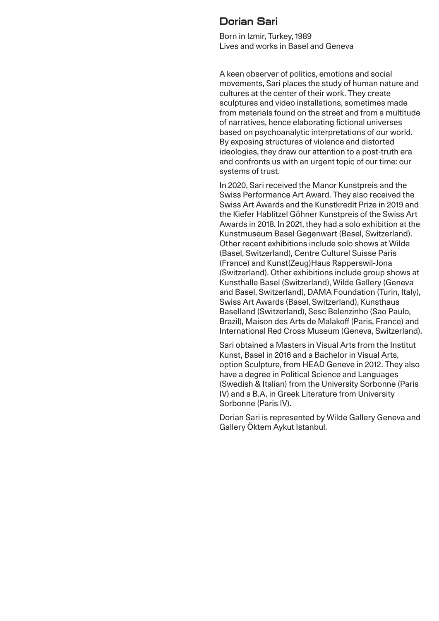#### **Dorian Sari**

Born in Izmir, Turkey, 1989 Lives and works in Basel and Geneva

A keen observer of politics, emotions and social movements, Sari places the study of human nature and cultures at the center of their work. They create sculptures and video installations, sometimes made from materials found on the street and from a multitude of narratives, hence elaborating fictional universes based on psychoanalytic interpretations of our world. By exposing structures of violence and distorted ideologies, they draw our attention to a post-truth era and confronts us with an urgent topic of our time: our systems of trust.

In 2020, Sari received the Manor Kunstpreis and the Swiss Performance Art Award. They also received the Swiss Art Awards and the Kunstkredit Prize in 2019 and the Kiefer Hablitzel Göhner Kunstpreis of the Swiss Art Awards in 2018. In 2021, they had a solo exhibition at the Kunstmuseum Basel Gegenwart (Basel, Switzerland). Other recent exhibitions include solo shows at Wilde (Basel, Switzerland), Centre Culturel Suisse Paris (France) and Kunst(Zeug)Haus Rapperswil-Jona (Switzerland). Other exhibitions include group shows at Kunsthalle Basel (Switzerland), Wilde Gallery (Geneva and Basel, Switzerland), DAMA Foundation (Turin, Italy), Swiss Art Awards (Basel, Switzerland), Kunsthaus Baselland (Switzerland), Sesc Belenzinho (Sao Paulo, Brazil), Maison des Arts de Malakoff (Paris, France) and International Red Cross Museum (Geneva, Switzerland).

Sari obtained a Masters in Visual Arts from the Institut Kunst, Basel in 2016 and a Bachelor in Visual Arts, option Sculpture, from HEAD Geneve in 2012. They also have a degree in Political Science and Languages (Swedish & Italian) from the University Sorbonne (Paris IV) and a B.A. in Greek Literature from University Sorbonne (Paris IV).

Dorian Sari is represented by Wilde Gallery Geneva and Gallery Öktem Aykut Istanbul.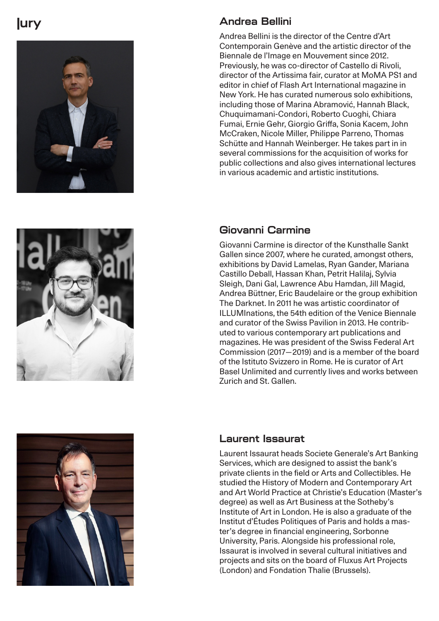# **Jury**







Andrea Bellini is the director of the Centre d'Art Contemporain Genève and the artistic director of the Biennale de l'Image en Mouvement since 2012. Previously, he was co-director of Castello di Rivoli, director of the Artissima fair, curator at MoMA PS1 and editor in chief of Flash Art International magazine in New York. He has curated numerous solo exhibitions, including those of Marina Abramović, Hannah Black, Chuquimamani-Condori, Roberto Cuoghi, Chiara Fumai, Ernie Gehr, Giorgio Griffa, Sonia Kacem, John McCraken, Nicole Miller, Philippe Parreno, Thomas Schütte and Hannah Weinberger. He takes part in in several commissions for the acquisition of works for public collections and also gives international lectures in various academic and artistic institutions.

## **Giovanni Carmine**

Giovanni Carmine is director of the Kunsthalle Sankt Gallen since 2007, where he curated, amongst others, exhibitions by David Lamelas, Ryan Gander, Mariana Castillo Deball, Hassan Khan, Petrit Halilaj, Sylvia Sleigh, Dani Gal, Lawrence Abu Hamdan, Jill Magid, Andrea Büttner, Eric Baudelaire or the group exhibition The Darknet. In 2011 he was artistic coordinator of ILLUMInations, the 54th edition of the Venice Biennale and curator of the Swiss Pavilion in 2013. He contrib uted to various contemporary art publications and magazines. He was president of the Swiss Federal Art Commission (2017—2019) and is a member of the board of the Istituto Svizzero in Rome. He is curator of Art Basel Unlimited and currently lives and works between Zurich and St. Gallen.



### **Laurent Issaurat**

Laurent Issaurat heads Societe Generale's Art Banking Services, which are designed to assist the bank's private clients in the field or Arts and Collectibles. He studied the History of Modern and Contemporary Art and Art World Practice at Christie's Education (Master's degree) as well as Art Business at the Sotheby's Institute of Art in London. He is also a graduate of the Institut d'Études Politiques of Paris and holds a mas ter's degree in financial engineering, Sorbonne University, Paris. Alongside his professional role, Issaurat is involved in several cultural initiatives and projects and sits on the board of Fluxus Art Projects (London) and Fondation Thalie (Brussels).